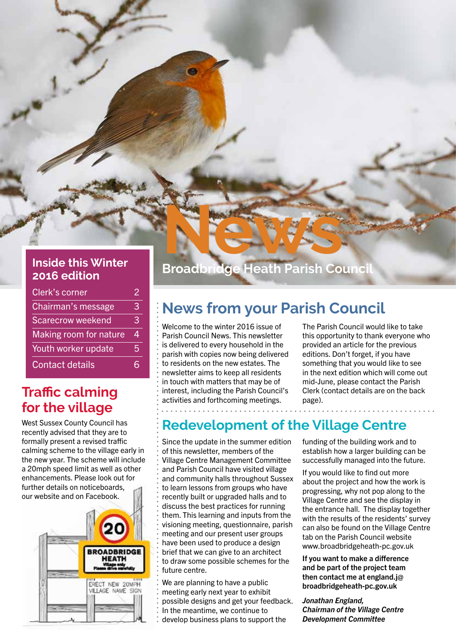# **2016 edition**

| <b>Clerk's corner</b>    |   |
|--------------------------|---|
| Chairman's message       | З |
| <b>Scarecrow weekend</b> | З |
| Making room for nature   | 4 |
| Youth worker update      | 5 |
| <b>Contact details</b>   |   |

### **Traffic calming for the village**

West Sussex County Council has recently advised that they are to formally present a revised traffic calming scheme to the village early in the new year. The scheme will include a 20mph speed limit as well as other enhancements. Please look out for further details on noticeboards, our website and on Facebook.



# **News News Inside this Winter Broadbridge Heath Parish Council and Council**

### **News from your Parish Council**

Welcome to the winter 2016 issue of Parish Council News. This newsletter is delivered to every household in the parish with copies now being delivered to residents on the new estates. The newsletter aims to keep all residents in touch with matters that may be of interest, including the Parish Council's activities and forthcoming meetings.

The Parish Council would like to take this opportunity to thank everyone who provided an article for the previous editions. Don't forget, if you have something that you would like to see in the next edition which will come out mid-June, please contact the Parish Clerk (contact details are on the back page).

### **Redevelopment of the Village Centre**

Since the update in the summer edition of this newsletter, members of the Village Centre Management Committee and Parish Council have visited village and community halls throughout Sussex to learn lessons from groups who have recently built or upgraded halls and to discuss the best practices for running them. This learning and inputs from the visioning meeting, questionnaire, parish meeting and our present user groups have been used to produce a design brief that we can give to an architect to draw some possible schemes for the future centre.

We are planning to have a public meeting early next year to exhibit possible designs and get your feedback. In the meantime, we continue to develop business plans to support the

funding of the building work and to establish how a larger building can be successfully managed into the future.

If you would like to find out more about the project and how the work is progressing, why not pop along to the Village Centre and see the display in the entrance hall. The display together with the results of the residents' survey can also be found on the Village Centre tab on the Parish Council website www.broadbridgeheath-pc.gov.uk

If you want to make a difference and be part of the project team then contact me at england.j@ broadbridgeheath-pc.gov.uk

*Jonathan England, Chairman of the Village Centre Development Committee*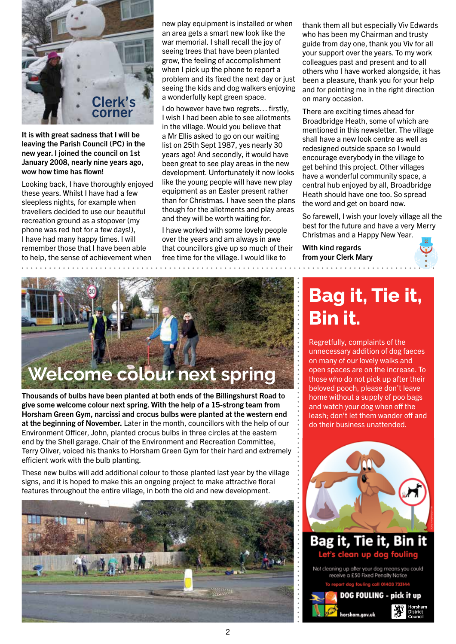

It is with great sadness that I will be leaving the Parish Council (PC) in the new year. I joined the council on 1st January 2008, nearly nine years ago, wow how time has flown!

Looking back, I have thoroughly enjoyed these years. Whilst I have had a few sleepless nights, for example when travellers decided to use our beautiful recreation ground as a stopover (my phone was red hot for a few days!), I have had many happy times. I will remember those that I have been able to help, the sense of achievement when

new play equipment is installed or when an area gets a smart new look like the war memorial. I shall recall the joy of seeing trees that have been planted grow, the feeling of accomplishment when I pick up the phone to report a problem and its fixed the next day or just seeing the kids and dog walkers enjoying a wonderfully kept green space.

I do however have two regrets… firstly, I wish I had been able to see allotments in the village. Would you believe that a Mr Ellis asked to go on our waiting list on 25th Sept 1987, yes nearly 30 years ago! And secondly, it would have been great to see play areas in the new development. Unfortunately it now looks like the young people will have new play equipment as an Easter present rather than for Christmas. I have seen the plans though for the allotments and play areas and they will be worth waiting for.

I have worked with some lovely people over the years and am always in awe that councillors give up so much of their free time for the village. I would like to

thank them all but especially Viv Edwards who has been my Chairman and trusty guide from day one, thank you Viv for all your support over the years. To my work colleagues past and present and to all others who I have worked alongside, it has been a pleasure, thank you for your help and for pointing me in the right direction on many occasion.

There are exciting times ahead for Broadbridge Heath, some of which are mentioned in this newsletter. The village shall have a new look centre as well as redesigned outside space so I would encourage everybody in the village to get behind this project. Other villages have a wonderful community space, a central hub enjoyed by all, Broadbridge Heath should have one too. So spread the word and get on board now.

So farewell, I wish your lovely village all the best for the future and have a very Merry Christmas and a Happy New Year.

With kind regards from your Clerk Mary

and a straight and a





Thousands of bulbs have been planted at both ends of the Billingshurst Road to give some welcome colour next spring. With the help of a 15-strong team from Horsham Green Gym, narcissi and crocus bulbs were planted at the western end at the beginning of November. Later in the month, councillors with the help of our Environment Officer, John, planted crocus bulbs in three circles at the eastern end by the Shell garage. Chair of the Environment and Recreation Committee, Terry Oliver, voiced his thanks to Horsham Green Gym for their hard and extremely efficient work with the bulb planting.

These new bulbs will add additional colour to those planted last year by the village signs, and it is hoped to make this an ongoing project to make attractive floral features throughout the entire village, in both the old and new development.



## **Bag it, Tie it, Bin it.**

Regretfully, complaints of the unnecessary addition of dog faeces on many of our lovely walks and open spaces are on the increase. To those who do not pick up after their beloved pooch, please don't leave home without a supply of poo bags and watch your dog when off the leash; don't let them wander off and do their business unattended.





horsham.aov.uk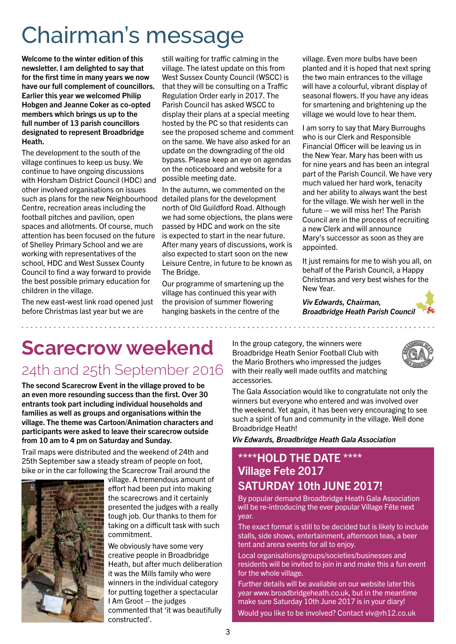# Chairman's message

Welcome to the winter edition of this newsletter. I am delighted to say that for the first time in many years we now have our full complement of councillors. Earlier this year we welcomed Philip Hobgen and Jeanne Coker as co-opted members which brings us up to the full number of 13 parish councillors designated to represent Broadbridge Heath.

The development to the south of the village continues to keep us busy. We continue to have ongoing discussions with Horsham District Council (HDC) and other involved organisations on issues such as plans for the new Neighbourhood detailed plans for the development Centre, recreation areas including the football pitches and pavilion, open spaces and allotments. Of course, much attention has been focused on the future of Shelley Primary School and we are working with representatives of the school, HDC and West Sussex County Council to find a way forward to provide the best possible primary education for children in the village.

The new east-west link road opened just before Christmas last year but we are

still waiting for traffic calming in the village. The latest update on this from West Sussex County Council (WSCC) is that they will be consulting on a Traffic Regulation Order early in 2017. The Parish Council has asked WSCC to display their plans at a special meeting hosted by the PC so that residents can see the proposed scheme and comment on the same. We have also asked for an update on the downgrading of the old bypass. Please keep an eye on agendas on the noticeboard and website for a possible meeting date.

In the autumn, we commented on the north of Old Guildford Road. Although we had some objections, the plans were passed by HDC and work on the site is expected to start in the near future. After many years of discussions, work is also expected to start soon on the new Leisure Centre, in future to be known as The Bridge.

Our programme of smartening up the village has continued this year with the provision of summer flowering hanging baskets in the centre of the

village. Even more bulbs have been planted and it is hoped that next spring the two main entrances to the village will have a colourful, vibrant display of seasonal flowers. If you have any ideas for smartening and brightening up the village we would love to hear them.

I am sorry to say that Mary Burroughs who is our Clerk and Responsible Financial Officer will be leaving us in the New Year. Mary has been with us for nine years and has been an integral part of the Parish Council. We have very much valued her hard work, tenacity and her ability to always want the best for the village. We wish her well in the future – we will miss her! The Parish Council are in the process of recruiting a new Clerk and will announce Mary's successor as soon as they are appointed.

It just remains for me to wish you all, on behalf of the Parish Council, a Happy Christmas and very best wishes for the New Year.

*Viv Edwards, Chairman, Broadbridge Heath Parish Council*

### **Scarecrow weekend** 24th and 25th September 2016

The second Scarecrow Event in the village proved to be an even more resounding success than the first. Over 30 entrants took part including individual households and families as well as groups and organisations within the village. The theme was Cartoon/Animation characters and participants were asked to leave their scarecrow outside from 10 am to 4 pm on Saturday and Sunday.

Trail maps were distributed and the weekend of 24th and 25th September saw a steady stream of people on foot, bike or in the car following the Scarecrow Trail around the



village. A tremendous amount of effort had been put into making the scarecrows and it certainly presented the judges with a really tough job. Our thanks to them for taking on a difficult task with such commitment.

We obviously have some very creative people in Broadbridge Heath, but after much deliberation it was the Mills family who were winners in the individual category for putting together a spectacular I Am Groot – the judges commented that 'it was beautifully constructed'.

In the group category, the winners were Broadbridge Heath Senior Football Club with the Mario Brothers who impressed the judges with their really well made outfits and matching accessories.



The Gala Association would like to congratulate not only the winners but everyone who entered and was involved over the weekend. Yet again, it has been very encouraging to see such a spirit of fun and community in the village. Well done Broadbridge Heath!

*Viv Edwards, Broadbridge Heath Gala Association*

### \*\*\*\*HOLD THE DATE \*\*\*\* Village Fete 2017 SATURDAY 10th JUNE 2017!

By popular demand Broadbridge Heath Gala Association will be re-introducing the ever popular Village Fête next year.

The exact format is still to be decided but is likely to include stalls, side shows, entertainment, afternoon teas, a beer tent and arena events for all to enjoy.

Local organisations/groups/societies/businesses and residents will be invited to join in and make this a fun event for the whole village.

Further details will be available on our website later this year www.broadbridgeheath.co.uk, but in the meantime make sure Saturday 10th June 2017 is in your diary!

Would you like to be involved? Contact viv@rh12.co.uk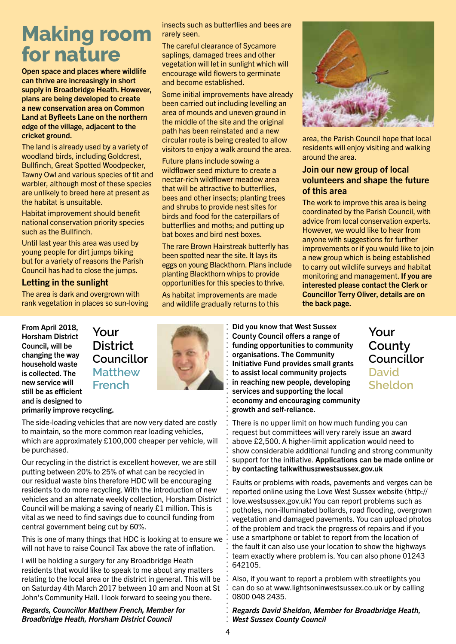## **Making room for nature**

Open space and places where wildlife can thrive are increasingly in short supply in Broadbridge Heath. However, plans are being developed to create a new conservation area on Common Land at Byfleets Lane on the northern edge of the village, adjacent to the cricket ground.

The land is already used by a variety of woodland birds, including Goldcrest, Bullfinch, Great Spotted Woodpecker, Tawny Owl and various species of tit and warbler, although most of these species are unlikely to breed here at present as the habitat is unsuitable.

Habitat improvement should benefit national conservation priority species such as the Bullfinch.

Until last year this area was used by young people for dirt jumps biking but for a variety of reasons the Parish Council has had to close the jumps.

#### Letting in the sunlight

The area is dark and overgrown with rank vegetation in places so sun-loving insects such as butterflies and bees are rarely seen.

The careful clearance of Sycamore saplings, damaged trees and other vegetation will let in sunlight which will encourage wild flowers to germinate and become established.

Some initial improvements have already been carried out including levelling an area of mounds and uneven ground in the middle of the site and the original path has been reinstated and a new circular route is being created to allow visitors to enjoy a walk around the area.

Future plans include sowing a wildflower seed mixture to create a nectar-rich wildflower meadow area that will be attractive to butterflies, bees and other insects; planting trees and shrubs to provide nest sites for birds and food for the caterpillars of butterflies and moths; and putting up bat boxes and bird nest boxes.

The rare Brown Hairstreak butterfly has been spotted near the site. It lays its eggs on young Blackthorn. Plans include planting Blackthorn whips to provide opportunities for this species to thrive.

As habitat improvements are made and wildlife gradually returns to this

area, the Parish Council hope that local residents will enjoy visiting and walking around the area.

### Join our new group of local volunteers and shape the future of this area

The work to improve this area is being coordinated by the Parish Council, with advice from local conservation experts. However, we would like to hear from anyone with suggestions for further improvements or if you would like to join a new group which is being established to carry out wildlife surveys and habitat monitoring and management. If you are interested please contact the Clerk or Councillor Terry Oliver, details are on the back page.

From April 2018, Horsham District Council, will be changing the way household waste is collected. The new service will still be as efficient and is designed to primarily improve recycling.

**Your District Councillor Matthew French**



The side-loading vehicles that are now very dated are costly to maintain, so the more common rear loading vehicles, which are approximately £100,000 cheaper per vehicle, will be purchased.

Our recycling in the district is excellent however, we are still putting between 20% to 25% of what can be recycled in our residual waste bins therefore HDC will be encouraging residents to do more recycling. With the introduction of new vehicles and an alternate weekly collection, Horsham District Council will be making a saving of nearly £1 million. This is vital as we need to find savings due to council funding from central government being cut by 60%.

This is one of many things that HDC is looking at to ensure we will not have to raise Council Tax above the rate of inflation.

I will be holding a surgery for any Broadbridge Heath residents that would like to speak to me about any matters relating to the local area or the district in general. This will be on Saturday 4th March 2017 between 10 am and Noon at St John's Community Hall. I look forward to seeing you there.

*Regards, Councillor Matthew French, Member for Broadbridge Heath, Horsham District Council* 

Did you know that West Sussex County Council offers a range of funding opportunities to community organisations. The Community Initiative Fund provides small grants to assist local community projects in reaching new people, developing services and supporting the local economy and encouraging community growth and self-reliance.

### **Your County Councillor David Sheldon**

There is no upper limit on how much funding you can request but committees will very rarely issue an award above £2,500. A higher-limit application would need to show considerable additional funding and strong community support for the initiative. Applications can be made online or by contacting talkwithus@westsussex.gov.uk

Faults or problems with roads, pavements and verges can be reported online using the Love West Sussex website (http:// love.westsussex.gov.uk) You can report problems such as potholes, non-illuminated bollards, road flooding, overgrown vegetation and damaged pavements. You can upload photos of the problem and track the progress of repairs and if you use a smartphone or tablet to report from the location of the fault it can also use your location to show the highways team exactly where problem is. You can also phone 01243 642105.

Also, if you want to report a problem with streetlights you can do so at www.lightsoninwestsussex.co.uk or by calling 0800 048 2435.

*Regards David Sheldon, Member for Broadbridge Heath, West Sussex County Council*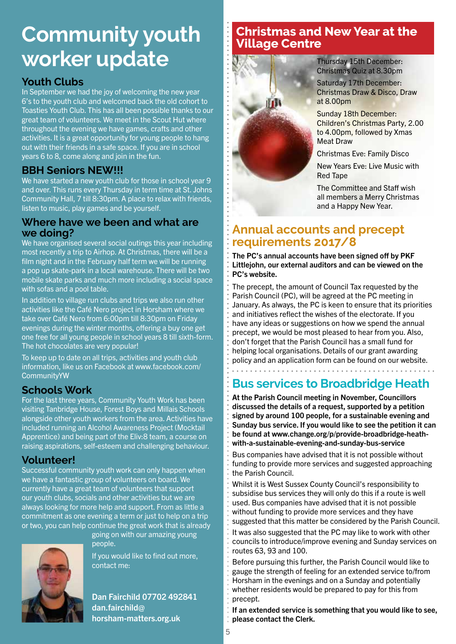# **Community youth** *Community youth Positional Section Area at the village Centre* **worker update**

### **Youth Clubs**

In September we had the joy of welcoming the new year 6's to the youth club and welcomed back the old cohort to Toasties Youth Club. This has all been possible thanks to our great team of volunteers. We meet in the Scout Hut where throughout the evening we have games, crafts and other activities. It is a great opportunity for young people to hang out with their friends in a safe space. If you are in school years 6 to 8, come along and join in the fun.

### **BBH Seniors NEW!!!**

We have started a new youth club for those in school year 9 and over. This runs every Thursday in term time at St. Johns Community Hall, 7 till 8:30pm. A place to relax with friends, listen to music, play games and be yourself.

### **Where have we been and what are we doing?**

We have organised several social outings this year including most recently a trip to Airhop. At Christmas, there will be a film night and in the February half term we will be running a pop up skate-park in a local warehouse. There will be two mobile skate parks and much more including a social space with sofas and a pool table.

In addition to village run clubs and trips we also run other activities like the Café Nero project in Horsham where we take over Café Nero from 6:00pm till 8:30pm on Friday evenings during the winter months, offering a buy one get one free for all young people in school years 8 till sixth-form. The hot chocolates are very popular!

To keep up to date on all trips, activities and youth club information, like us on Facebook at www.facebook.com/ CommunityYW

### **Schools Work**

For the last three years, Community Youth Work has been visiting Tanbridge House, Forest Boys and Millais Schools alongside other youth workers from the area. Activities have included running an Alcohol Awareness Project (Mocktail Apprentice) and being part of the Eliv:8 team, a course on raising aspirations, self-esteem and challenging behaviour.

### **Volunteer!**

Successful community youth work can only happen when we have a fantastic group of volunteers on board. We currently have a great team of volunteers that support our youth clubs, socials and other activities but we are always looking for more help and support. From as little a commitment as one evening a term or just to help on a trip or two, you can help continue the great work that is already

going on with our amazing young people.



If you would like to find out more, contact me:

Dan Fairchild 07702 492841 dan.fairchild@ horsham-matters.org.uk



Thursday 15th December: Christmas Quiz at 8.30pm

Saturday 17th December: Christmas Draw & Disco, Draw at 8.00pm

Sunday 18th December: Children's Christmas Party, 2.00 to 4.00pm, followed by Xmas Meat Draw

Christmas Eve: Family Disco

New Years Eve: Live Music with Red Tape

The Committee and Staff wish all members a Merry Christmas and a Happy New Year.

### **Annual accounts and precept requirements 2017/8**

The PC's annual accounts have been signed off by PKF Littlejohn, our external auditors and can be viewed on the PC's website.

The precept, the amount of Council Tax requested by the Parish Council (PC), will be agreed at the PC meeting in January. As always, the PC is keen to ensure that its priorities and initiatives reflect the wishes of the electorate. If you have any ideas or suggestions on how we spend the annual precept, we would be most pleased to hear from you. Also, don't forget that the Parish Council has a small fund for helping local organisations. Details of our grant awarding policy and an application form can be found on our website.

### **Bus services to Broadbridge Heath**

At the Parish Council meeting in November, Councillors discussed the details of a request, supported by a petition signed by around 100 people, for a sustainable evening and Sunday bus service. If you would like to see the petition it can be found at www.change.org/p/provide-broadbridge-heathwith-a-sustainable-evening-and-sunday-bus-service

Bus companies have advised that it is not possible without funding to provide more services and suggested approaching the Parish Council.

Whilst it is West Sussex County Council's responsibility to subsidise bus services they will only do this if a route is well used. Bus companies have advised that it is not possible without funding to provide more services and they have suggested that this matter be considered by the Parish Council.

It was also suggested that the PC may like to work with other councils to introduce/improve evening and Sunday services on routes 63, 93 and 100.

Before pursuing this further, the Parish Council would like to gauge the strength of feeling for an extended service to/from Horsham in the evenings and on a Sunday and potentially whether residents would be prepared to pay for this from precept.

If an extended service is something that you would like to see, please contact the Clerk.